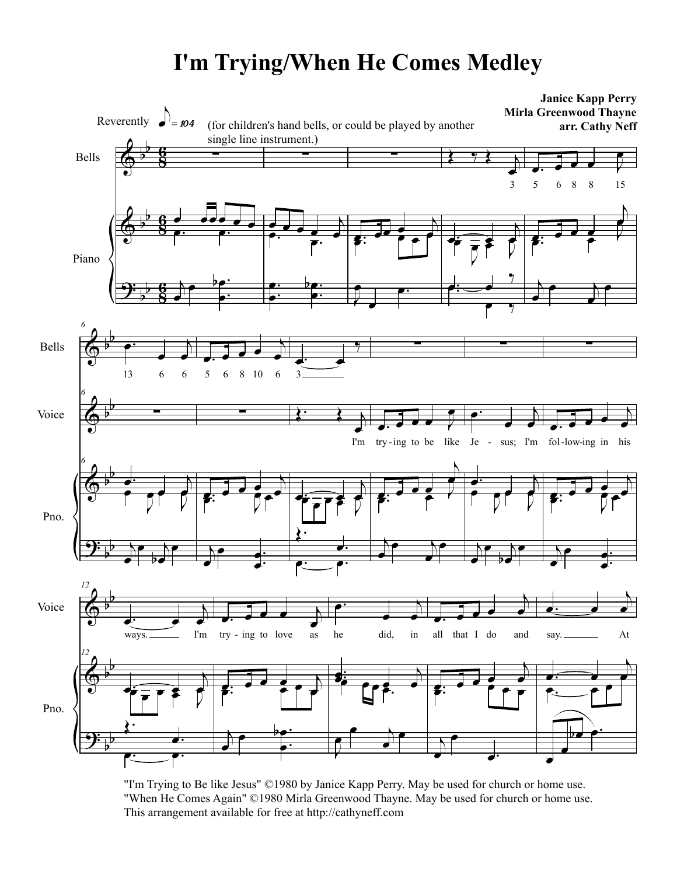## **I'm Trying/When He Comes Medley**



"I'm Trying to Be like Jesus" ©1980 by Janice Kapp Perry. May be used for church or home use. "When He Comes Again" ©1980 Mirla Greenwood Thayne. May be used for church or home use. This arrangement available for free at http://cathyneff.com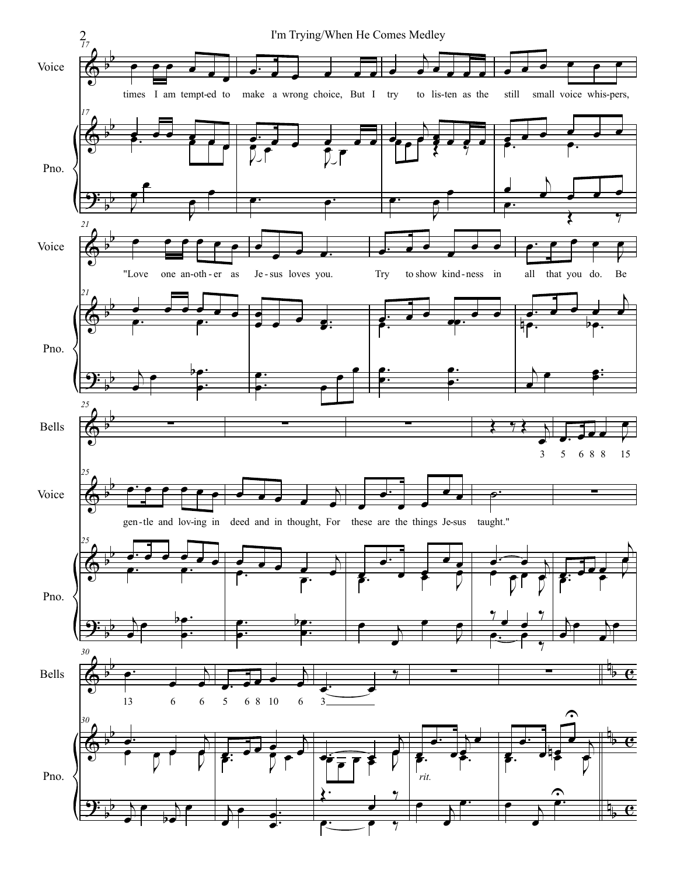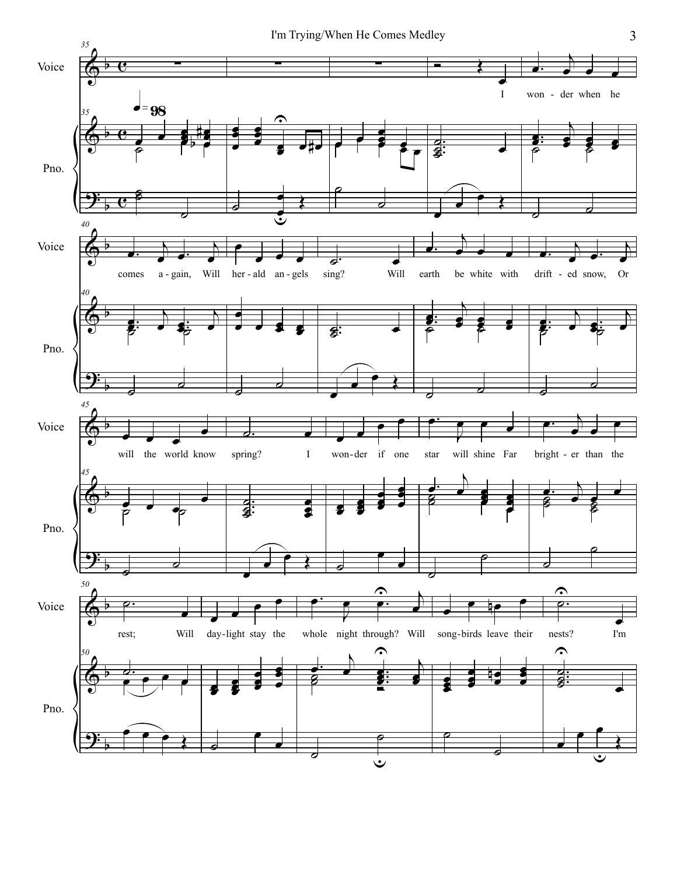